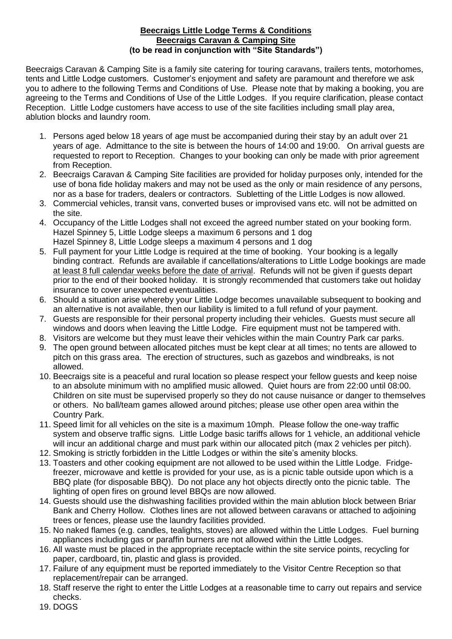## **Beecraigs Little Lodge Terms & Conditions Beecraigs Caravan & Camping Site (to be read in conjunction with "Site Standards")**

Beecraigs Caravan & Camping Site is a family site catering for touring caravans, trailers tents, motorhomes, tents and Little Lodge customers. Customer's enjoyment and safety are paramount and therefore we ask you to adhere to the following Terms and Conditions of Use. Please note that by making a booking, you are agreeing to the Terms and Conditions of Use of the Little Lodges. If you require clarification, please contact Reception. Little Lodge customers have access to use of the site facilities including small play area, ablution blocks and laundry room.

- 1. Persons aged below 18 years of age must be accompanied during their stay by an adult over 21 years of age. Admittance to the site is between the hours of 14:00 and 19:00. On arrival guests are requested to report to Reception. Changes to your booking can only be made with prior agreement from Reception.
- 2. Beecraigs Caravan & Camping Site facilities are provided for holiday purposes only, intended for the use of bona fide holiday makers and may not be used as the only or main residence of any persons, nor as a base for traders, dealers or contractors. Subletting of the Little Lodges is now allowed.
- 3. Commercial vehicles, transit vans, converted buses or improvised vans etc. will not be admitted on the site.
- 4. Occupancy of the Little Lodges shall not exceed the agreed number stated on your booking form. Hazel Spinney 5, Little Lodge sleeps a maximum 6 persons and 1 dog Hazel Spinney 8, Little Lodge sleeps a maximum 4 persons and 1 dog
- 5. Full payment for your Little Lodge is required at the time of booking. Your booking is a legally binding contract. Refunds are available if cancellations/alterations to Little Lodge bookings are made at least 8 full calendar weeks before the date of arrival. Refunds will not be given if guests depart prior to the end of their booked holiday. It is strongly recommended that customers take out holiday insurance to cover unexpected eventualities.
- 6. Should a situation arise whereby your Little Lodge becomes unavailable subsequent to booking and an alternative is not available, then our liability is limited to a full refund of your payment.
- 7. Guests are responsible for their personal property including their vehicles. Guests must secure all windows and doors when leaving the Little Lodge. Fire equipment must not be tampered with.
- 8. Visitors are welcome but they must leave their vehicles within the main Country Park car parks.
- 9. The open ground between allocated pitches must be kept clear at all times; no tents are allowed to pitch on this grass area. The erection of structures, such as gazebos and windbreaks, is not allowed.
- 10. Beecraigs site is a peaceful and rural location so please respect your fellow guests and keep noise to an absolute minimum with no amplified music allowed. Quiet hours are from 22:00 until 08:00. Children on site must be supervised properly so they do not cause nuisance or danger to themselves or others. No ball/team games allowed around pitches; please use other open area within the Country Park.
- 11. Speed limit for all vehicles on the site is a maximum 10mph. Please follow the one-way traffic system and observe traffic signs. Little Lodge basic tariffs allows for 1 vehicle, an additional vehicle will incur an additional charge and must park within our allocated pitch (max 2 vehicles per pitch).
- 12. Smoking is strictly forbidden in the Little Lodges or within the site's amenity blocks.
- 13. Toasters and other cooking equipment are not allowed to be used within the Little Lodge. Fridgefreezer, microwave and kettle is provided for your use, as is a picnic table outside upon which is a BBQ plate (for disposable BBQ). Do not place any hot objects directly onto the picnic table. The lighting of open fires on ground level BBQs are now allowed.
- 14. Guests should use the dishwashing facilities provided within the main ablution block between Briar Bank and Cherry Hollow. Clothes lines are not allowed between caravans or attached to adjoining trees or fences, please use the laundry facilities provided.
- 15. No naked flames (e.g. candles, tealights, stoves) are allowed within the Little Lodges. Fuel burning appliances including gas or paraffin burners are not allowed within the Little Lodges.
- 16. All waste must be placed in the appropriate receptacle within the site service points, recycling for paper, cardboard, tin, plastic and glass is provided.
- 17. Failure of any equipment must be reported immediately to the Visitor Centre Reception so that replacement/repair can be arranged.
- 18. Staff reserve the right to enter the Little Lodges at a reasonable time to carry out repairs and service checks.
- 19. DOGS